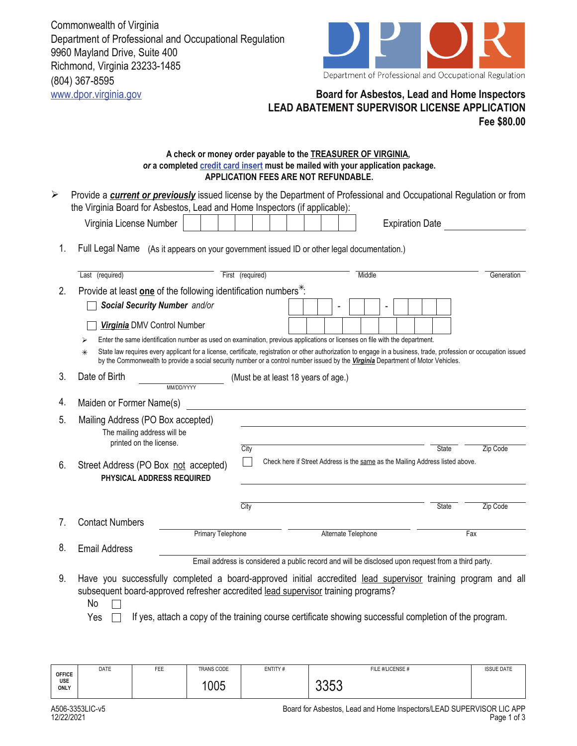Commonwealth of Virginia Department of Professional and Occupational Regulation 9960 Mayland Drive, Suite 400 Richmond, Virginia 23233-1485 (804) 367-8595



## www.dpor.virginia.gov **Board for Asbestos, Lead and Home Inspectors LEAD ABATEMENT SUPERVISOR LICENSE APPLICATION Fee \$80.00**

## **A check or money order payable to the TREASURER OF VIRGINIA,**  *or* **a completed credit card insert must be mailed with your application package. APPLICATION FEES ARE NOT REFUNDABLE.**

| ➤  | Provide a <b>current or previously</b> issued license by the Department of Professional and Occupational Regulation or from<br>the Virginia Board for Asbestos, Lead and Home Inspectors (if applicable):                                                                                                                                                                                                                                            |                  |                                     |  |  |                                                                                                                           |  |        |  |                        |                                                                               |          |            |
|----|------------------------------------------------------------------------------------------------------------------------------------------------------------------------------------------------------------------------------------------------------------------------------------------------------------------------------------------------------------------------------------------------------------------------------------------------------|------------------|-------------------------------------|--|--|---------------------------------------------------------------------------------------------------------------------------|--|--------|--|------------------------|-------------------------------------------------------------------------------|----------|------------|
|    | Virginia License Number                                                                                                                                                                                                                                                                                                                                                                                                                              |                  |                                     |  |  |                                                                                                                           |  |        |  | <b>Expiration Date</b> |                                                                               |          |            |
| 1. | Full Legal Name (As it appears on your government issued ID or other legal documentation.)                                                                                                                                                                                                                                                                                                                                                           |                  |                                     |  |  |                                                                                                                           |  |        |  |                        |                                                                               |          |            |
|    | Last (required)                                                                                                                                                                                                                                                                                                                                                                                                                                      | First (required) |                                     |  |  |                                                                                                                           |  | Middle |  |                        |                                                                               |          | Generation |
| 2. | Provide at least one of the following identification numbers <sup>*</sup> .                                                                                                                                                                                                                                                                                                                                                                          |                  |                                     |  |  |                                                                                                                           |  |        |  |                        |                                                                               |          |            |
|    | Social Security Number and/or                                                                                                                                                                                                                                                                                                                                                                                                                        |                  |                                     |  |  |                                                                                                                           |  |        |  |                        |                                                                               |          |            |
|    | Virginia DMV Control Number                                                                                                                                                                                                                                                                                                                                                                                                                          |                  |                                     |  |  |                                                                                                                           |  |        |  |                        |                                                                               |          |            |
|    | Enter the same identification number as used on examination, previous applications or licenses on file with the department.<br>⋗<br>State law requires every applicant for a license, certificate, registration or other authorization to engage in a business, trade, profession or occupation issued<br>$\ast$<br>by the Commonwealth to provide a social security number or a control number issued by the Virginia Department of Motor Vehicles. |                  |                                     |  |  |                                                                                                                           |  |        |  |                        |                                                                               |          |            |
| 3. | Date of Birth<br>MM/DD/YYYY                                                                                                                                                                                                                                                                                                                                                                                                                          |                  | (Must be at least 18 years of age.) |  |  |                                                                                                                           |  |        |  |                        |                                                                               |          |            |
| 4. | Maiden or Former Name(s)                                                                                                                                                                                                                                                                                                                                                                                                                             |                  |                                     |  |  |                                                                                                                           |  |        |  |                        |                                                                               |          |            |
| 5. | Mailing Address (PO Box accepted)<br>The mailing address will be<br>printed on the license.                                                                                                                                                                                                                                                                                                                                                          | City             |                                     |  |  |                                                                                                                           |  |        |  |                        | <b>State</b>                                                                  | Zip Code |            |
| 6. | Street Address (PO Box not accepted)<br>PHYSICAL ADDRESS REQUIRED                                                                                                                                                                                                                                                                                                                                                                                    |                  |                                     |  |  |                                                                                                                           |  |        |  |                        | Check here if Street Address is the same as the Mailing Address listed above. |          |            |
|    |                                                                                                                                                                                                                                                                                                                                                                                                                                                      | City             |                                     |  |  |                                                                                                                           |  |        |  |                        | <b>State</b>                                                                  | Zip Code |            |
| 7. | <b>Contact Numbers</b><br><b>Primary Telephone</b>                                                                                                                                                                                                                                                                                                                                                                                                   |                  |                                     |  |  |                                                                                                                           |  |        |  |                        |                                                                               | Fax      |            |
| 8. | <b>Email Address</b>                                                                                                                                                                                                                                                                                                                                                                                                                                 |                  |                                     |  |  | Alternate Telephone<br>Email address is considered a public record and will be disclosed upon request from a third party. |  |        |  |                        |                                                                               |          |            |
| 9. | Have you successfully completed a board-approved initial accredited lead supervisor training program and all<br>subsequent board-approved refresher accredited lead supervisor training programs?<br>No                                                                                                                                                                                                                                              |                  |                                     |  |  |                                                                                                                           |  |        |  |                        |                                                                               |          |            |

No

Yes  $\Box$  If yes, attach a copy of the training course certificate showing successful completion of the program.

| TRANS CODE<br>DATE<br><b>ISSUE DATE</b><br>ENTITY#<br>FILE #/LICENSE #<br>FEE<br><b>OFFICE</b><br>USE<br>$\cap$<br>1005<br>くへ<br><b>ONLY</b><br>∪∪∪ |  |
|-----------------------------------------------------------------------------------------------------------------------------------------------------|--|
|-----------------------------------------------------------------------------------------------------------------------------------------------------|--|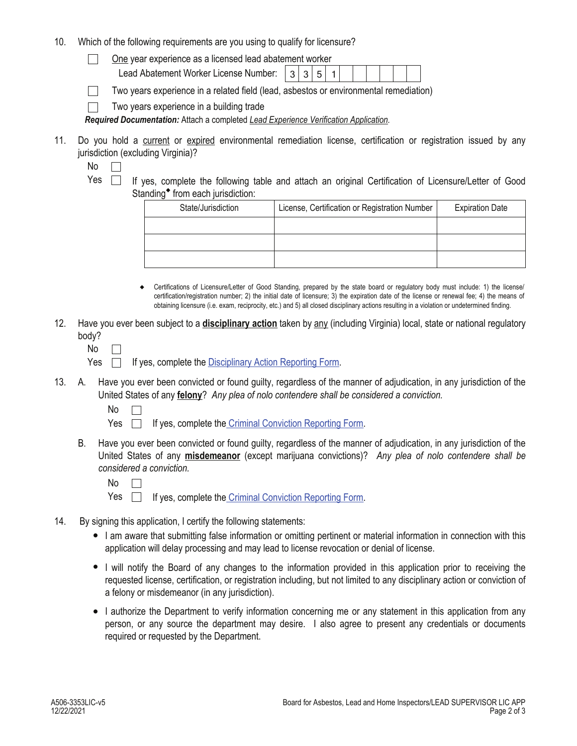10. Which of the following requirements are you using to qualify for licensure?

One year experience as a licensed lead abatement worker  $\perp$ 

Lead Abatement Worker License Number:  $\vert 3|3|5|1$ 

Two years experience in a related field (lead, asbestos or environmental remediation)

Two years experience in a building trade  $\Box$ 

*Required Documentation:* Attach a completed *Lead Experience Verification Application.* 

- 11. Do you hold a current or expired environmental remediation license, certification or registration issued by any jurisdiction (excluding Virginia)?
	- No  $\Box$
	- Yes  $\Box$  If yes, complete the following table and attach an original Certification of Licensure/Letter of Good Standing $\bullet$  from each jurisdiction:

| State/Jurisdiction | License, Certification or Registration Number | <b>Expiration Date</b> |  |  |
|--------------------|-----------------------------------------------|------------------------|--|--|
|                    |                                               |                        |  |  |
|                    |                                               |                        |  |  |
|                    |                                               |                        |  |  |

- Certifications of Licensure/Letter of Good Standing, prepared by the state board or regulatory body must include: 1) the license/ certification/registration number; 2) the initial date of licensure; 3) the expiration date of the license or renewal fee; 4) the means of obtaining licensure (i.e. exam, reciprocity, etc.) and 5) all closed disciplinary actions resulting in a violation or undetermined finding.
- 12. Have you ever been subject to a **disciplinary action** taken by any (including Virginia) local, state or national regulatory body?
	- No  $\Box$

Yes  $\Box$  If yes, complete the Disciplinary Action Reporting Form.

- A. Have you ever been convicted or found guilty, regardless of the manner of adjudication, in any jurisdiction of the 13. United States of any **felony**? *Any plea of nolo contendere shall be considered a conviction.*
	- No

Yes  $\Box$  If yes, complete the *Criminal Conviction Reporting Form.* 

- B. Have you ever been convicted or found guilty, regardless of the manner of adjudication, in any jurisdiction of the United States of any **misdemeanor** (except marijuana convictions)? *Any plea of nolo contendere shall be considered a conviction.*
	- No  $\Box$

Yes  $\Box$ If yes, complete the Criminal Conviction Reporting Form.

- 14. By signing this application, I certify the following statements:
	- I am aware that submitting false information or omitting pertinent or material information in connection with this application will delay processing and may lead to license revocation or denial of license.
	- I will notify the Board of any changes to the information provided in this application prior to receiving the requested license, certification, or registration including, but not limited to any disciplinary action or conviction of a felony or misdemeanor (in any jurisdiction).
	- I authorize the Department to verify information concerning me or any statement in this application from any person, or any source the department may desire. I also agree to present any credentials or documents required or requested by the Department.